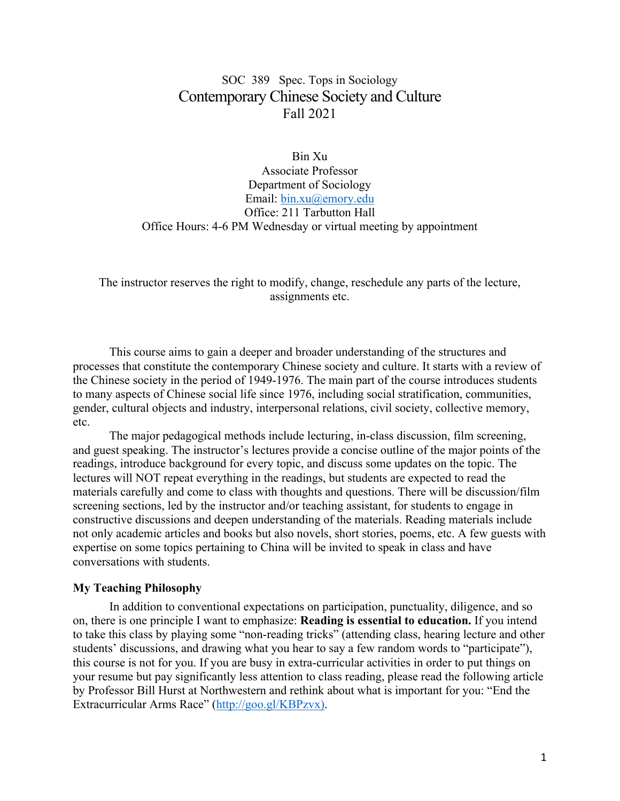# SOC 389 Spec. Tops in Sociology Contemporary Chinese Society and Culture Fall 2021

Bin Xu Associate Professor Department of Sociology Email: bin.xu@emory.edu Office: 211 Tarbutton Hall Office Hours: 4-6 PM Wednesday or virtual meeting by appointment

The instructor reserves the right to modify, change, reschedule any parts of the lecture, assignments etc.

This course aims to gain a deeper and broader understanding of the structures and processes that constitute the contemporary Chinese society and culture. It starts with a review of the Chinese society in the period of 1949-1976. The main part of the course introduces students to many aspects of Chinese social life since 1976, including social stratification, communities, gender, cultural objects and industry, interpersonal relations, civil society, collective memory, etc.

The major pedagogical methods include lecturing, in-class discussion, film screening, and guest speaking. The instructor's lectures provide a concise outline of the major points of the readings, introduce background for every topic, and discuss some updates on the topic. The lectures will NOT repeat everything in the readings, but students are expected to read the materials carefully and come to class with thoughts and questions. There will be discussion/film screening sections, led by the instructor and/or teaching assistant, for students to engage in constructive discussions and deepen understanding of the materials. Reading materials include not only academic articles and books but also novels, short stories, poems, etc. A few guests with expertise on some topics pertaining to China will be invited to speak in class and have conversations with students.

#### **My Teaching Philosophy**

In addition to conventional expectations on participation, punctuality, diligence, and so on, there is one principle I want to emphasize: **Reading is essential to education.** If you intend to take this class by playing some "non-reading tricks" (attending class, hearing lecture and other students' discussions, and drawing what you hear to say a few random words to "participate"), this course is not for you. If you are busy in extra-curricular activities in order to put things on your resume but pay significantly less attention to class reading, please read the following article by Professor Bill Hurst at Northwestern and rethink about what is important for you: "End the Extracurricular Arms Race" (http://goo.gl/KBPzvx).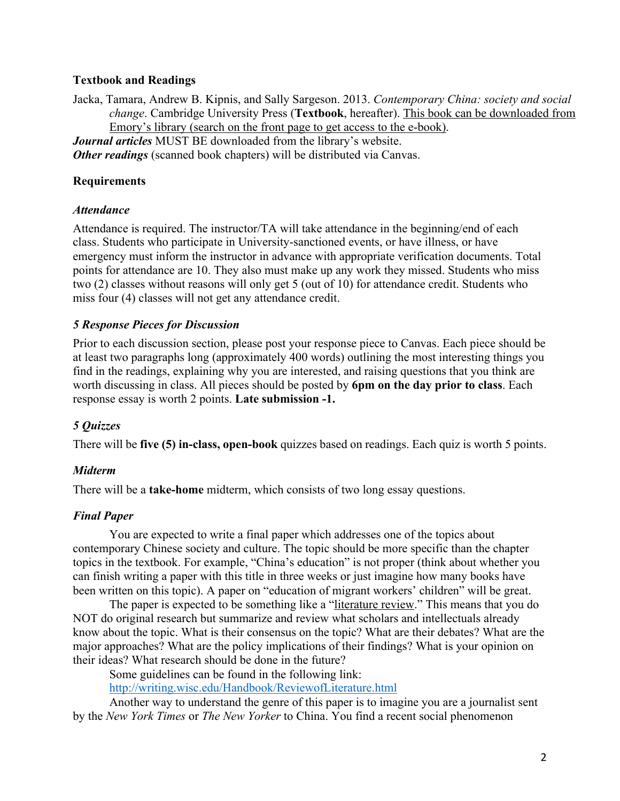### **Textbook and Readings**

Jacka, Tamara, Andrew B. Kipnis, and Sally Sargeson. 2013. *Contemporary China: society and social change*. Cambridge University Press (**Textbook**, hereafter). This book can be downloaded from Emory's library (search on the front page to get access to the e-book). *Journal articles* MUST BE downloaded from the library's website.

*Other readings* (scanned book chapters) will be distributed via Canvas.

# **Requirements**

### *Attendance*

Attendance is required. The instructor/TA will take attendance in the beginning/end of each class. Students who participate in University-sanctioned events, or have illness, or have emergency must inform the instructor in advance with appropriate verification documents. Total points for attendance are 10. They also must make up any work they missed. Students who miss two (2) classes without reasons will only get 5 (out of 10) for attendance credit. Students who miss four (4) classes will not get any attendance credit.

# *5 Response Pieces for Discussion*

Prior to each discussion section, please post your response piece to Canvas. Each piece should be at least two paragraphs long (approximately 400 words) outlining the most interesting things you find in the readings, explaining why you are interested, and raising questions that you think are worth discussing in class. All pieces should be posted by **6pm on the day prior to class**. Each response essay is worth 2 points. **Late submission -1.**

# *5 Quizzes*

There will be **five (5) in-class, open-book** quizzes based on readings. Each quiz is worth 5 points.

# *Midterm*

There will be a **take-home** midterm, which consists of two long essay questions.

# *Final Paper*

You are expected to write a final paper which addresses one of the topics about contemporary Chinese society and culture. The topic should be more specific than the chapter topics in the textbook. For example, "China's education" is not proper (think about whether you can finish writing a paper with this title in three weeks or just imagine how many books have been written on this topic). A paper on "education of migrant workers' children" will be great.

The paper is expected to be something like a "literature review." This means that you do NOT do original research but summarize and review what scholars and intellectuals already know about the topic. What is their consensus on the topic? What are their debates? What are the major approaches? What are the policy implications of their findings? What is your opinion on their ideas? What research should be done in the future?

Some guidelines can be found in the following link:

http://writing.wisc.edu/Handbook/ReviewofLiterature.html

Another way to understand the genre of this paper is to imagine you are a journalist sent by the *New York Times* or *The New Yorker* to China. You find a recent social phenomenon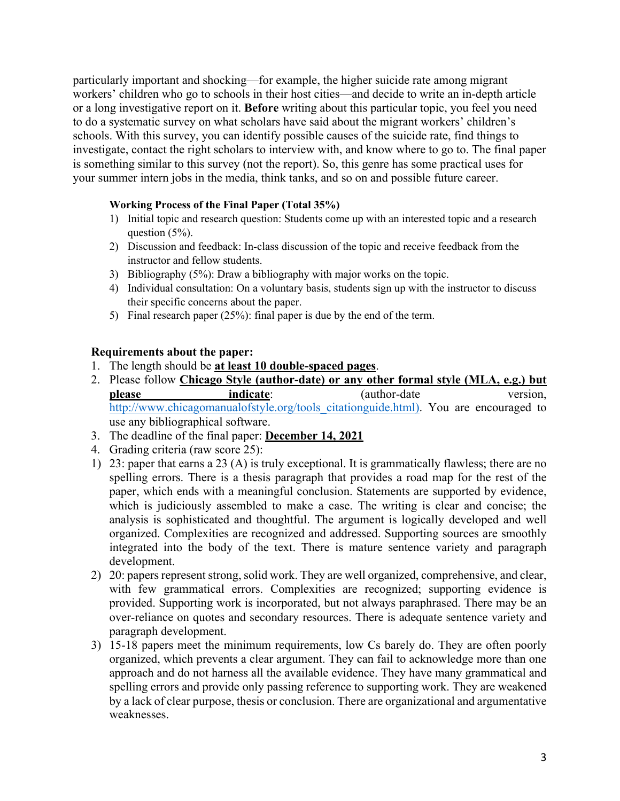particularly important and shocking—for example, the higher suicide rate among migrant workers' children who go to schools in their host cities—and decide to write an in-depth article or a long investigative report on it. **Before** writing about this particular topic, you feel you need to do a systematic survey on what scholars have said about the migrant workers' children's schools. With this survey, you can identify possible causes of the suicide rate, find things to investigate, contact the right scholars to interview with, and know where to go to. The final paper is something similar to this survey (not the report). So, this genre has some practical uses for your summer intern jobs in the media, think tanks, and so on and possible future career.

#### **Working Process of the Final Paper (Total 35%)**

- 1) Initial topic and research question: Students come up with an interested topic and a research question (5%).
- 2) Discussion and feedback: In-class discussion of the topic and receive feedback from the instructor and fellow students.
- 3) Bibliography (5%): Draw a bibliography with major works on the topic.
- 4) Individual consultation: On a voluntary basis, students sign up with the instructor to discuss their specific concerns about the paper.
- 5) Final research paper (25%): final paper is due by the end of the term.

#### **Requirements about the paper:**

- 1. The length should be **at least 10 double-spaced pages**.
- 2. Please follow **Chicago Style (author-date) or any other formal style (MLA, e.g.) but please indicate:** (author-date version, http://www.chicagomanualofstyle.org/tools\_citationguide.html). You are encouraged to use any bibliographical software.
- 3. The deadline of the final paper: **December 14, 2021**
- 4. Grading criteria (raw score 25):
- 1) 23: paper that earns a 23 (A) is truly exceptional. It is grammatically flawless; there are no spelling errors. There is a thesis paragraph that provides a road map for the rest of the paper, which ends with a meaningful conclusion. Statements are supported by evidence, which is judiciously assembled to make a case. The writing is clear and concise; the analysis is sophisticated and thoughtful. The argument is logically developed and well organized. Complexities are recognized and addressed. Supporting sources are smoothly integrated into the body of the text. There is mature sentence variety and paragraph development.
- 2) 20: papers represent strong, solid work. They are well organized, comprehensive, and clear, with few grammatical errors. Complexities are recognized; supporting evidence is provided. Supporting work is incorporated, but not always paraphrased. There may be an over-reliance on quotes and secondary resources. There is adequate sentence variety and paragraph development.
- 3) 15-18 papers meet the minimum requirements, low Cs barely do. They are often poorly organized, which prevents a clear argument. They can fail to acknowledge more than one approach and do not harness all the available evidence. They have many grammatical and spelling errors and provide only passing reference to supporting work. They are weakened by a lack of clear purpose, thesis or conclusion. There are organizational and argumentative weaknesses.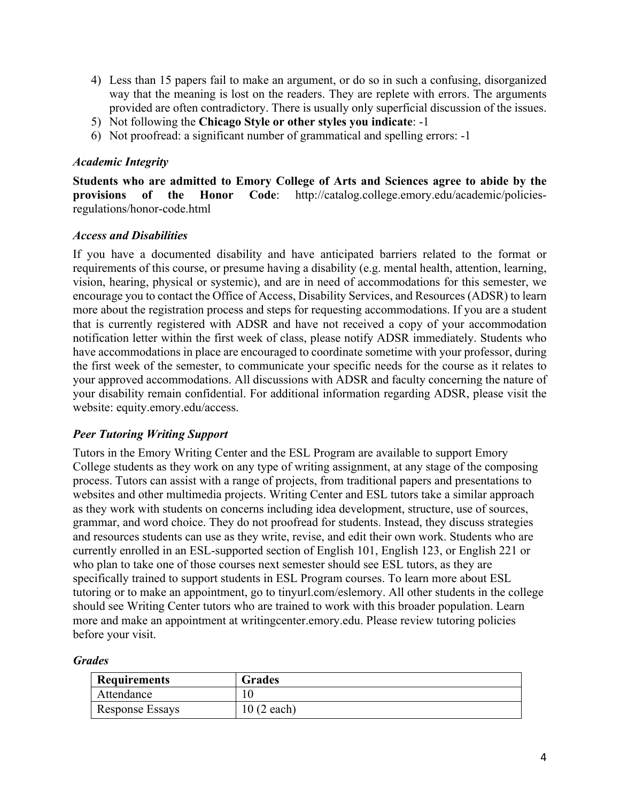- 4) Less than 15 papers fail to make an argument, or do so in such a confusing, disorganized way that the meaning is lost on the readers. They are replete with errors. The arguments provided are often contradictory. There is usually only superficial discussion of the issues.
- 5) Not following the **Chicago Style or other styles you indicate**: -1
- 6) Not proofread: a significant number of grammatical and spelling errors: -1

### *Academic Integrity*

**Students who are admitted to Emory College of Arts and Sciences agree to abide by the provisions of the Honor Code**: http://catalog.college.emory.edu/academic/policiesregulations/honor-code.html

### *Access and Disabilities*

If you have a documented disability and have anticipated barriers related to the format or requirements of this course, or presume having a disability (e.g. mental health, attention, learning, vision, hearing, physical or systemic), and are in need of accommodations for this semester, we encourage you to contact the Office of Access, Disability Services, and Resources (ADSR) to learn more about the registration process and steps for requesting accommodations. If you are a student that is currently registered with ADSR and have not received a copy of your accommodation notification letter within the first week of class, please notify ADSR immediately. Students who have accommodations in place are encouraged to coordinate sometime with your professor, during the first week of the semester, to communicate your specific needs for the course as it relates to your approved accommodations. All discussions with ADSR and faculty concerning the nature of your disability remain confidential. For additional information regarding ADSR, please visit the website: equity.emory.edu/access.

# *Peer Tutoring Writing Support*

Tutors in the Emory Writing Center and the ESL Program are available to support Emory College students as they work on any type of writing assignment, at any stage of the composing process. Tutors can assist with a range of projects, from traditional papers and presentations to websites and other multimedia projects. Writing Center and ESL tutors take a similar approach as they work with students on concerns including idea development, structure, use of sources, grammar, and word choice. They do not proofread for students. Instead, they discuss strategies and resources students can use as they write, revise, and edit their own work. Students who are currently enrolled in an ESL-supported section of English 101, English 123, or English 221 or who plan to take one of those courses next semester should see ESL tutors, as they are specifically trained to support students in ESL Program courses. To learn more about ESL tutoring or to make an appointment, go to tinyurl.com/eslemory. All other students in the college should see Writing Center tutors who are trained to work with this broader population. Learn more and make an appointment at writingcenter.emory.edu. Please review tutoring policies before your visit.

#### *Grades*

| <b>Requirements</b> | <b>Grades</b> |
|---------------------|---------------|
| Attendance          |               |
| Response Essays     | $10(2$ each)  |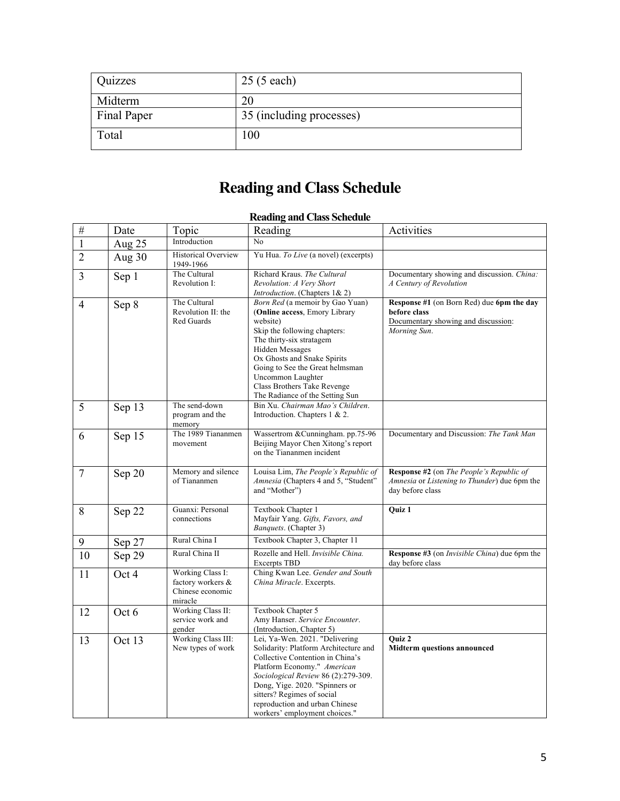| Quizzes            | $25(5 \text{ each})$     |
|--------------------|--------------------------|
| Midterm            | 20                       |
| <b>Final Paper</b> | 35 (including processes) |
| Total              | 100                      |

# **Reading and Class Schedule**

# **Reading and Class Schedule**

| $\#$           | Date   | Topic                                                                | Reading                                                                                                                                                                                                                                                                                                              | Activities                                                                                                       |
|----------------|--------|----------------------------------------------------------------------|----------------------------------------------------------------------------------------------------------------------------------------------------------------------------------------------------------------------------------------------------------------------------------------------------------------------|------------------------------------------------------------------------------------------------------------------|
| $\overline{1}$ | Aug 25 | Introduction                                                         | No                                                                                                                                                                                                                                                                                                                   |                                                                                                                  |
| $\overline{2}$ | Aug 30 | <b>Historical Overview</b><br>1949-1966                              | Yu Hua. To Live (a novel) (excerpts)                                                                                                                                                                                                                                                                                 |                                                                                                                  |
| $\mathfrak{Z}$ | Sep 1  | The Cultural<br>Revolution I:                                        | Richard Kraus. The Cultural<br>Revolution: A Very Short<br>Introduction. (Chapters 1& 2)                                                                                                                                                                                                                             | Documentary showing and discussion. China:<br>A Century of Revolution                                            |
| $\overline{4}$ | Sep 8  | The Cultural<br>Revolution II: the<br>Red Guards                     | Born Red (a memoir by Gao Yuan)<br>(Online access, Emory Library<br>website)<br>Skip the following chapters:<br>The thirty-six stratagem<br>Hidden Messages<br>Ox Ghosts and Snake Spirits<br>Going to See the Great helmsman<br>Uncommon Laughter<br>Class Brothers Take Revenge<br>The Radiance of the Setting Sun | Response #1 (on Born Red) due 6pm the day<br>before class<br>Documentary showing and discussion:<br>Morning Sun. |
| 5              | Sep 13 | The send-down<br>program and the<br>memory                           | Bin Xu. Chairman Mao's Children.<br>Introduction. Chapters 1 & 2.                                                                                                                                                                                                                                                    |                                                                                                                  |
| 6              | Sep 15 | The 1989 Tiananmen<br>movement                                       | Wassertrom & Cunningham. pp.75-96<br>Beijing Mayor Chen Xitong's report<br>on the Tiananmen incident                                                                                                                                                                                                                 | Documentary and Discussion: The Tank Man                                                                         |
| $\tau$         | Sep 20 | Memory and silence<br>of Tiananmen                                   | Louisa Lim, The People's Republic of<br>Amnesia (Chapters 4 and 5, "Student"<br>and "Mother")                                                                                                                                                                                                                        | Response #2 (on The People's Republic of<br>Amnesia or Listening to Thunder) due 6pm the<br>day before class     |
| 8              | Sep 22 | Guanxi: Personal<br>connections                                      | Textbook Chapter 1<br>Mayfair Yang. Gifts, Favors, and<br><i>Banquets.</i> (Chapter 3)                                                                                                                                                                                                                               | Quiz 1                                                                                                           |
| 9              | Sep 27 | Rural China I                                                        | Textbook Chapter 3, Chapter 11                                                                                                                                                                                                                                                                                       |                                                                                                                  |
| 10             | Sep 29 | Rural China II                                                       | Rozelle and Hell. Invisible China.<br><b>Excerpts TBD</b>                                                                                                                                                                                                                                                            | Response #3 (on <i>Invisible China</i> ) due 6pm the<br>day before class                                         |
| 11             | Oct 4  | Working Class I:<br>factory workers &<br>Chinese economic<br>miracle | Ching Kwan Lee. Gender and South<br>China Miracle. Excerpts.                                                                                                                                                                                                                                                         |                                                                                                                  |
| 12             | Oct 6  | Working Class II:<br>service work and<br>gender                      | Textbook Chapter 5<br>Amy Hanser. Service Encounter.<br>(Introduction, Chapter 5)                                                                                                                                                                                                                                    |                                                                                                                  |
| 13             | Oct 13 | Working Class III:<br>New types of work                              | Lei, Ya-Wen. 2021. "Delivering<br>Solidarity: Platform Architecture and<br>Collective Contention in China's<br>Platform Economy." American<br>Sociological Review 86 (2):279-309.<br>Dong, Yige. 2020. "Spinners or<br>sitters? Regimes of social<br>reproduction and urban Chinese<br>workers' employment choices." | Ouiz 2<br><b>Midterm questions announced</b>                                                                     |